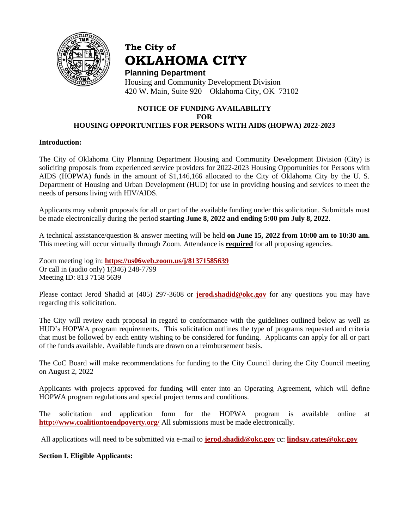

# **The City of OKLAHOMA CITY**

**Planning Department** Housing and Community Development Division 420 W. Main, Suite 920 Oklahoma City, OK 73102

### **NOTICE OF FUNDING AVAILABILITY FOR HOUSING OPPORTUNITIES FOR PERSONS WITH AIDS (HOPWA) 2022-2023**

#### **Introduction:**

The City of Oklahoma City Planning Department Housing and Community Development Division (City) is soliciting proposals from experienced service providers for 2022-2023 Housing Opportunities for Persons with AIDS (HOPWA) funds in the amount of \$1,146,166 allocated to the City of Oklahoma City by the U. S. Department of Housing and Urban Development (HUD) for use in providing housing and services to meet the needs of persons living with HIV/AIDS.

Applicants may submit proposals for all or part of the available funding under this solicitation. Submittals must be made electronically during the period **starting June 8, 2022 and ending 5:00 pm July 8, 2022**.

A technical assistance/question & answer meeting will be held **on June 15, 2022 from 10:00 am to 10:30 am.**  This meeting will occur virtually through Zoom. Attendance is **required** for all proposing agencies.

Zoom meeting log in: **<https://us06web.zoom.us/j/81371585639>** Or call in (audio only) 1(346) 248-7799 Meeting ID: 813 7158 5639

Please contact Jerod Shadid at (405) 297-3608 or **[jerod.shadid@okc.gov](../../2018/HOPWA/jerod.shadid@okc.gov)** for any questions you may have regarding this solicitation.

The City will review each proposal in regard to conformance with the guidelines outlined below as well as HUD's HOPWA program requirements. This solicitation outlines the type of programs requested and criteria that must be followed by each entity wishing to be considered for funding. Applicants can apply for all or part of the funds available. Available funds are drawn on a reimbursement basis.

The CoC Board will make recommendations for funding to the City Council during the City Council meeting on August 2, 2022

Applicants with projects approved for funding will enter into an Operating Agreement, which will define HOPWA program regulations and special project terms and conditions.

The solicitation and application form for the HOPWA program is available online at **<http://www.coalitiontoendpoverty.org/>** All submissions must be made electronically.

All applications will need to be submitted via e-mail to **[jerod.shadid@okc.gov](mailto:jerod.shadid@okc.gov)** cc: **[lindsay.cates@okc.gov](mailto:lindsay.cates@okc.gov)**

## **Section I. Eligible Applicants:**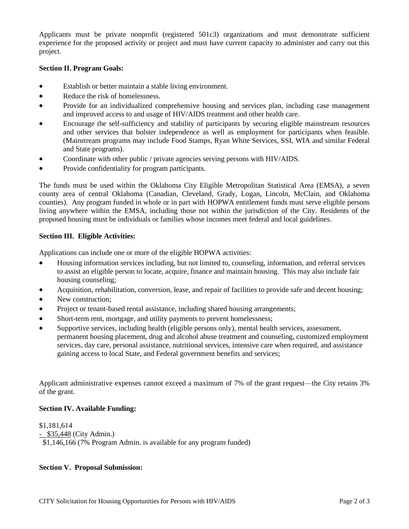Applicants must be private nonprofit (registered 501c3) organizations and must demonstrate sufficient experience for the proposed activity or project and must have current capacity to administer and carry out this project.

#### **Section II. Program Goals:**

- Establish or better maintain a stable living environment.
- Reduce the risk of homelessness.
- Provide for an individualized comprehensive housing and services plan, including case management and improved access to and usage of HIV/AIDS treatment and other health care.
- Encourage the self-sufficiency and stability of participants by securing eligible mainstream resources and other services that bolster independence as well as employment for participants when feasible. (Mainstream programs may include Food Stamps, Ryan White Services, SSI, WIA and similar Federal and State programs).
- Coordinate with other public / private agencies serving persons with HIV/AIDS.
- Provide confidentiality for program participants.

The funds must be used within the Oklahoma City Eligible Metropolitan Statistical Area (EMSA), a seven county area of central Oklahoma (Canadian, Cleveland, Grady, Logan, Lincoln, McClain, and Oklahoma counties). Any program funded in whole or in part with HOPWA entitlement funds must serve eligible persons living anywhere within the EMSA, including those not within the jurisdiction of the City. Residents of the proposed housing must be individuals or families whose incomes meet federal and local guidelines.

#### **Section III. Eligible Activities:**

Applications can include one or more of the eligible HOPWA activities:

- Housing information services including, but not limited to, counseling, information, and referral services to assist an eligible person to locate, acquire, finance and maintain housing. This may also include fair housing counseling;
- Acquisition, rehabilitation, conversion, lease, and repair of facilities to provide safe and decent housing;
- New construction:
- Project or tenant-based rental assistance, including shared housing arrangements;
- Short-term rent, mortgage, and utility payments to prevent homelessness;
- Supportive services, including health (eligible persons only), mental health services, assessment, permanent housing placement, drug and alcohol abuse treatment and counseling, customized employment services, day care, personal assistance, nutritional services, intensive care when required, and assistance gaining access to local State, and Federal government benefits and services;

Applicant administrative expenses cannot exceed a maximum of 7% of the grant request—the City retains 3% of the grant.

#### **Section IV. Available Funding:**

\$1,181,614 - \$35,448 (City Admin.) \$1,146,166 (7% Program Admin. is available for any program funded)

#### **Section V. Proposal Submission:**